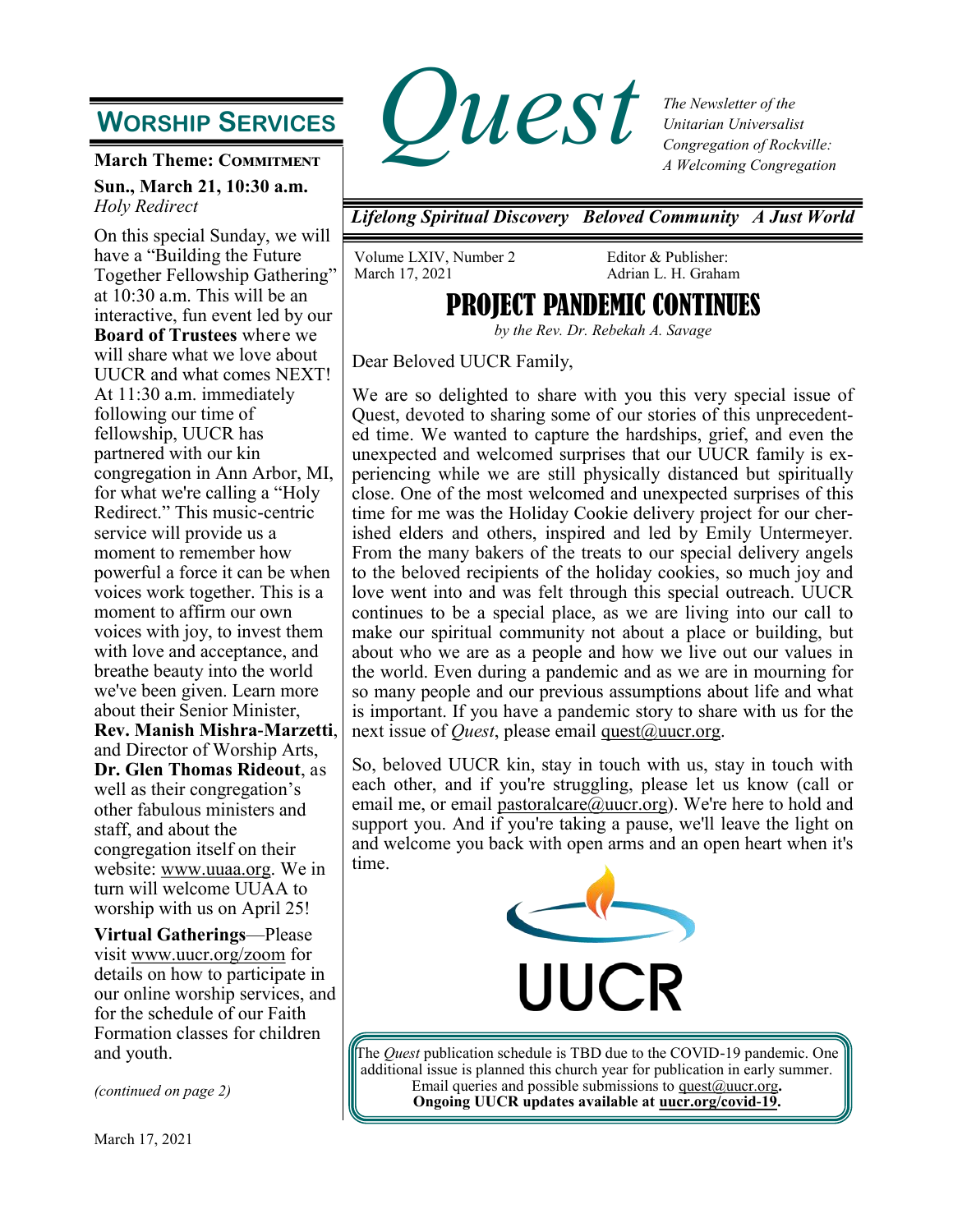## **WORSHIP SERVICES**

**March Theme: Commitment Sun., March 21, 10:30 a.m.** *Holy Redirect*

On this special Sunday, we will have a "Building the Future Together Fellowship Gathering" at 10:30 a.m. This will be an interactive, fun event led by our **Board of Trustees** where we will share what we love about UUCR and what comes NEXT! At 11:30 a.m. immediately following our time of fellowship, UUCR has partnered with our kin congregation in Ann Arbor, MI, for what we're calling a "Holy Redirect." This music-centric service will provide us a moment to remember how powerful a force it can be when voices work together. This is a moment to affirm our own voices with joy, to invest them with love and acceptance, and breathe beauty into the world we've been given. Learn more about their Senior Minister, **Rev. Manish Mishra-Marzetti**, and Director of Worship Arts, **Dr. Glen Thomas Rideout**, as well as their congregation's other fabulous ministers and staff, and about the congregation itself on their website: [www.uuaa.org.](http://www.uuaa.org) We in turn will welcome UUAA to worship with us on April 25!

**Virtual Gatherings**—Please visit [www.uucr.org/zoom](http://www.uucr.org/zoom) for details on how to participate in our online worship services, and for the schedule of our Faith Formation classes for children and youth.

*(continued on page 2)*



*The Newsletter of the Unitarian Universalist Congregation of Rockville: A Welcoming Congregation*

*Lifelong Spiritual Discovery Beloved Community A Just World*

Volume LXIV, Number 2 March 17, 2021

Editor & Publisher: Adrian L. H. Graham

## **PROJECT PANDEMIC CONTI**

*by the Rev. Dr. Rebekah A. Savage* 

Dear Beloved UUCR Family,

We are so delighted to share with you this very special issue of Quest, devoted to sharing some of our stories of this unprecedented time. We wanted to capture the hardships, grief, and even the unexpected and welcomed surprises that our UUCR family is experiencing while we are still physically distanced but spiritually close. One of the most welcomed and unexpected surprises of this time for me was the Holiday Cookie delivery project for our cherished elders and others, inspired and led by Emily Untermeyer. From the many bakers of the treats to our special delivery angels to the beloved recipients of the holiday cookies, so much joy and love went into and was felt through this special outreach. UUCR continues to be a special place, as we are living into our call to make our spiritual community not about a place or building, but about who we are as a people and how we live out our values in the world. Even during a pandemic and as we are in mourning for so many people and our previous assumptions about life and what is important. If you have a pandemic story to share with us for the next issue of *Quest*, please email <u>quest</u> *(a)*uucr.org.

So, beloved UUCR kin, stay in touch with us, stay in touch with each other, and if you're struggling, please let us know (call or email me, or email [pastoralcare@uucr.org\).](mailto:pastoralcare@uucr.org) We're here to hold and support you. And if you're taking a pause, we'll leave the light on and welcome you back with open arms and an open heart when it's time.



The *Quest* publication schedule is TBD due to the COVID-19 pandemic. One additional issue is planned this church year for publication in early summer. Email queries and possible submissions to [quest@uucr.org](mailto:quest@uucr.org?subject=re:%20September%20Quest%20submission)**. Ongoing UUCR updates available at [uucr.org/covid-19.](http://www.uucr.org/covid-19)**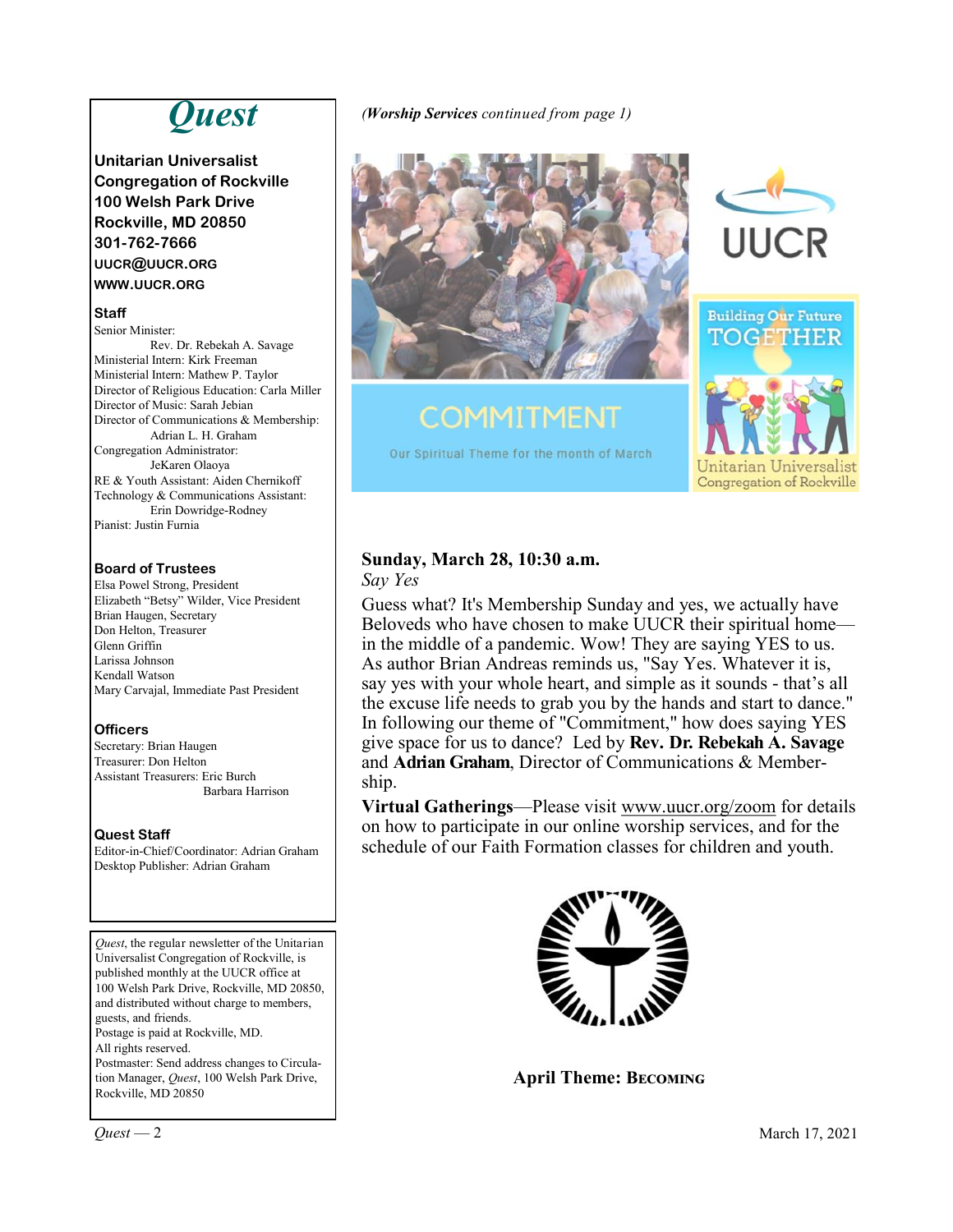# *Quest*

**Unitarian Universalist Congregation of Rockville 100 Welsh Park Drive Rockville, MD 20850 301-762-7666 UUCR@UUCR.ORG WWW.UUCR.ORG**

#### **Staff**

Senior Minister: Rev. Dr. Rebekah A. Savage Ministerial Intern: Kirk Freeman Ministerial Intern: Mathew P. Taylor Director of Religious Education: Carla Miller Director of Music: Sarah Jebian Director of Communications & Membership: Adrian L. H. Graham Congregation Administrator: JeKaren Olaoya RE & Youth Assistant: Aiden Chernikoff Technology & Communications Assistant: Erin Dowridge-Rodney Pianist: Justin Furnia

#### **Board of Trustees**

Elsa Powel Strong, President Elizabeth "Betsy" Wilder, Vice President Brian Haugen, Secretary Don Helton, Treasurer Glenn Griffin Larissa Johnson Kendall Watson Mary Carvajal, Immediate Past President

#### **Officers**

Secretary: Brian Haugen Treasurer: Don Helton Assistant Treasurers: Eric Burch Barbara Harrison

#### **Quest Staff**

Editor-in-Chief/Coordinator: Adrian Graham Desktop Publisher: Adrian Graham

*Quest*, the regular newsletter of the Unitarian Universalist Congregation of Rockville, is published monthly at the UUCR office at 100 Welsh Park Drive, Rockville, MD 20850, and distributed without charge to members, guests, and friends. Postage is paid at Rockville, MD. All rights reserved. Postmaster: Send address changes to Circulation Manager, *Quest*, 100 Welsh Park Drive, Rockville, MD 20850

*(Worship Services continued from page 1)*



# **COMMITMENT** Our Spiritual Theme for the month of March





#### **Sunday, March 28, 10:30 a.m.** *Say Yes*

Guess what? It's Membership Sunday and yes, we actually have Beloveds who have chosen to make UUCR their spiritual home in the middle of a pandemic. Wow! They are saying YES to us. As author Brian Andreas reminds us, "Say Yes. Whatever it is, say yes with your whole heart, and simple as it sounds - that's all the excuse life needs to grab you by the hands and start to dance." In following our theme of "Commitment," how does saying YES give space for us to dance? Led by **Rev. Dr. Rebekah A. Savage**  and **Adrian Graham**, Director of Communications & Membership.

**Virtual Gatherings**—Please visit [www.uucr.org/zoom](http://www.uucr.org/zoom) for details on how to participate in our online worship services, and for the schedule of our Faith Formation classes for children and youth.



**April Theme: Becoming**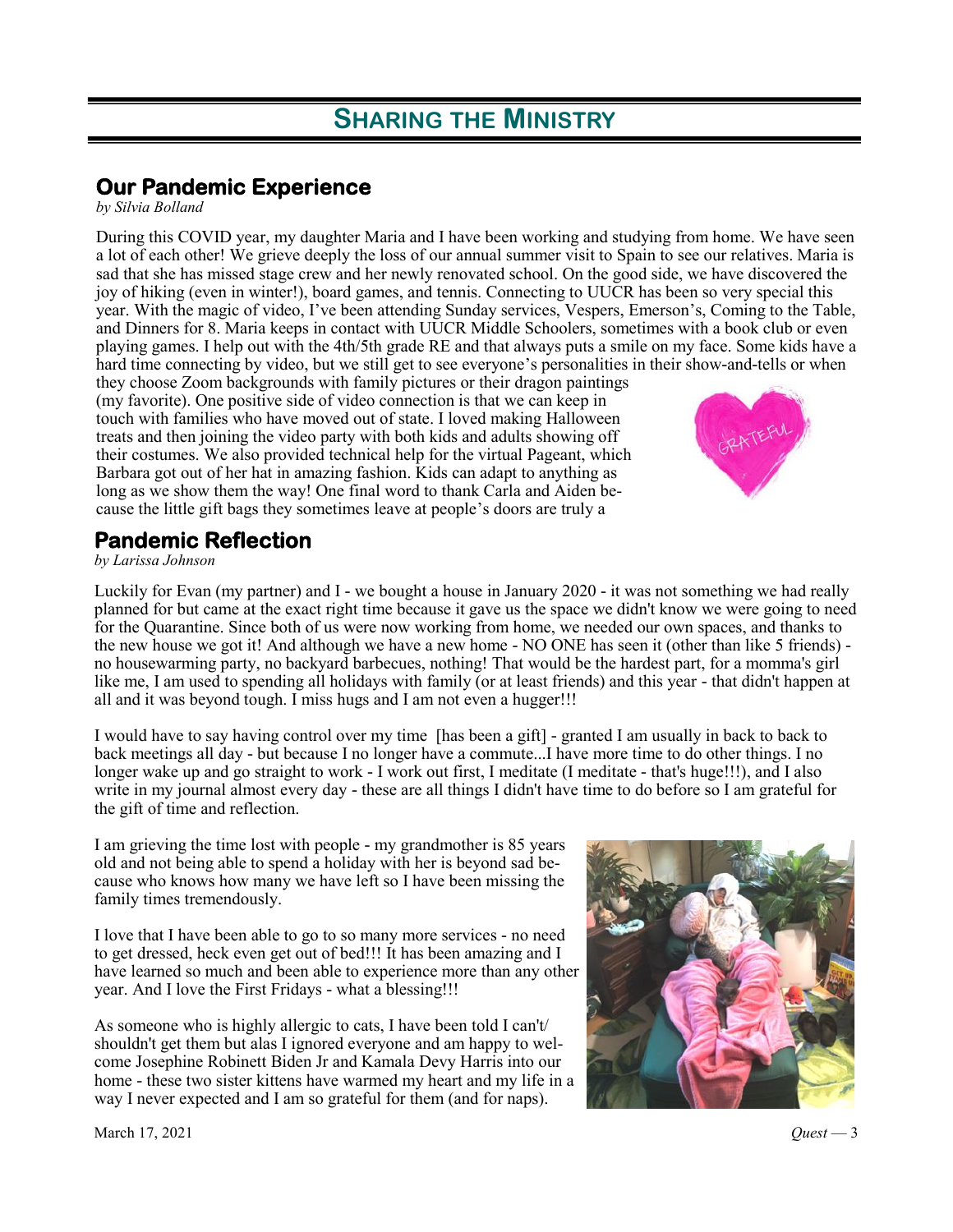### **Our Pandemic Experience**

*by Silvia Bolland*

During this COVID year, my daughter Maria and I have been working and studying from home. We have seen a lot of each other! We grieve deeply the loss of our annual summer visit to Spain to see our relatives. Maria is sad that she has missed stage crew and her newly renovated school. On the good side, we have discovered the joy of hiking (even in winter!), board games, and tennis. Connecting to UUCR has been so very special this year. With the magic of video, I've been attending Sunday services, Vespers, Emerson's, Coming to the Table, and Dinners for 8. Maria keeps in contact with UUCR Middle Schoolers, sometimes with a book club or even playing games. I help out with the 4th/5th grade RE and that always puts a smile on my face. Some kids have a hard time connecting by video, but we still get to see everyone's personalities in their show-and-tells or when

they choose Zoom backgrounds with family pictures or their dragon paintings (my favorite). One positive side of video connection is that we can keep in touch with families who have moved out of state. I loved making Halloween treats and then joining the video party with both kids and adults showing off their costumes. We also provided technical help for the virtual Pageant, which Barbara got out of her hat in amazing fashion. Kids can adapt to anything as long as we show them the way! One final word to thank Carla and Aiden because the little gift bags they sometimes leave at people's doors are truly a

### **Pandemic Reflection**

*by Larissa Johnson*

Luckily for Evan (my partner) and I - we bought a house in January 2020 - it was not something we had really planned for but came at the exact right time because it gave us the space we didn't know we were going to need for the Quarantine. Since both of us were now working from home, we needed our own spaces, and thanks to the new house we got it! And although we have a new home - NO ONE has seen it (other than like 5 friends) no housewarming party, no backyard barbecues, nothing! That would be the hardest part, for a momma's girl like me, I am used to spending all holidays with family (or at least friends) and this year - that didn't happen at all and it was beyond tough. I miss hugs and I am not even a hugger!!!

I would have to say having control over my time [has been a gift] - granted I am usually in back to back to back meetings all day - but because I no longer have a commute...I have more time to do other things. I no longer wake up and go straight to work - I work out first, I meditate (I meditate - that's huge!!!), and I also write in my journal almost every day - these are all things I didn't have time to do before so I am grateful for the gift of time and reflection.

I am grieving the time lost with people - my grandmother is 85 years old and not being able to spend a holiday with her is beyond sad because who knows how many we have left so I have been missing the family times tremendously.

I love that I have been able to go to so many more services - no need to get dressed, heck even get out of bed!!! It has been amazing and I have learned so much and been able to experience more than any other year. And I love the First Fridays - what a blessing!!!

As someone who is highly allergic to cats, I have been told I can't/ shouldn't get them but alas I ignored everyone and am happy to welcome Josephine Robinett Biden Jr and Kamala Devy Harris into our home - these two sister kittens have warmed my heart and my life in a way I never expected and I am so grateful for them (and for naps).



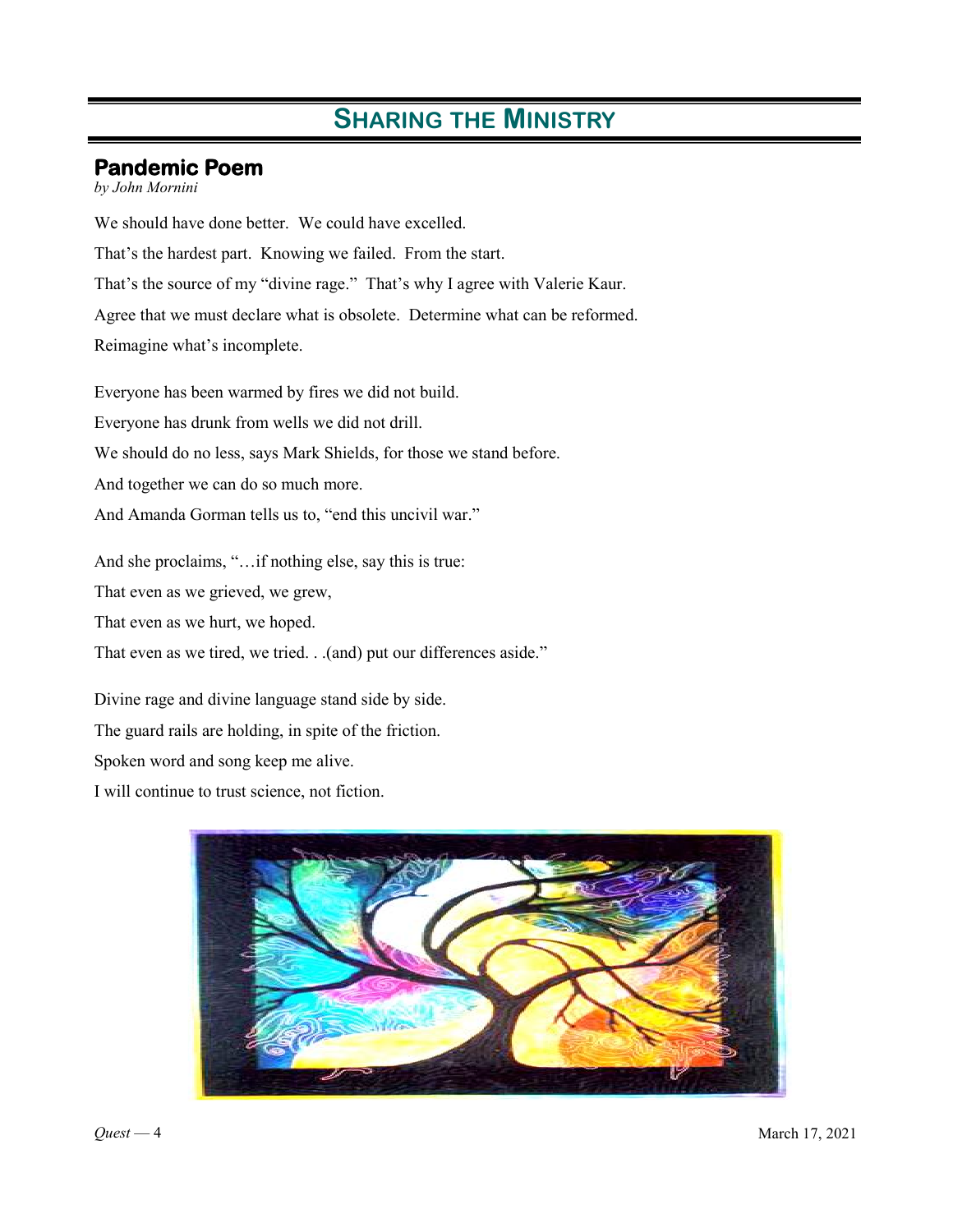### **Pandemic Poem**

*by John Mornini*

We should have done better. We could have excelled. That's the hardest part. Knowing we failed. From the start. That's the source of my "divine rage." That's why I agree with Valerie Kaur. Agree that we must declare what is obsolete. Determine what can be reformed. Reimagine what's incomplete.

Everyone has been warmed by fires we did not build. Everyone has drunk from wells we did not drill. We should do no less, says Mark Shields, for those we stand before. And together we can do so much more. And Amanda Gorman tells us to, "end this uncivil war."

And she proclaims, "…if nothing else, say this is true:

That even as we grieved, we grew,

That even as we hurt, we hoped.

That even as we tired, we tried. . .(and) put our differences aside."

Divine rage and divine language stand side by side.

The guard rails are holding, in spite of the friction.

Spoken word and song keep me alive.

I will continue to trust science, not fiction.

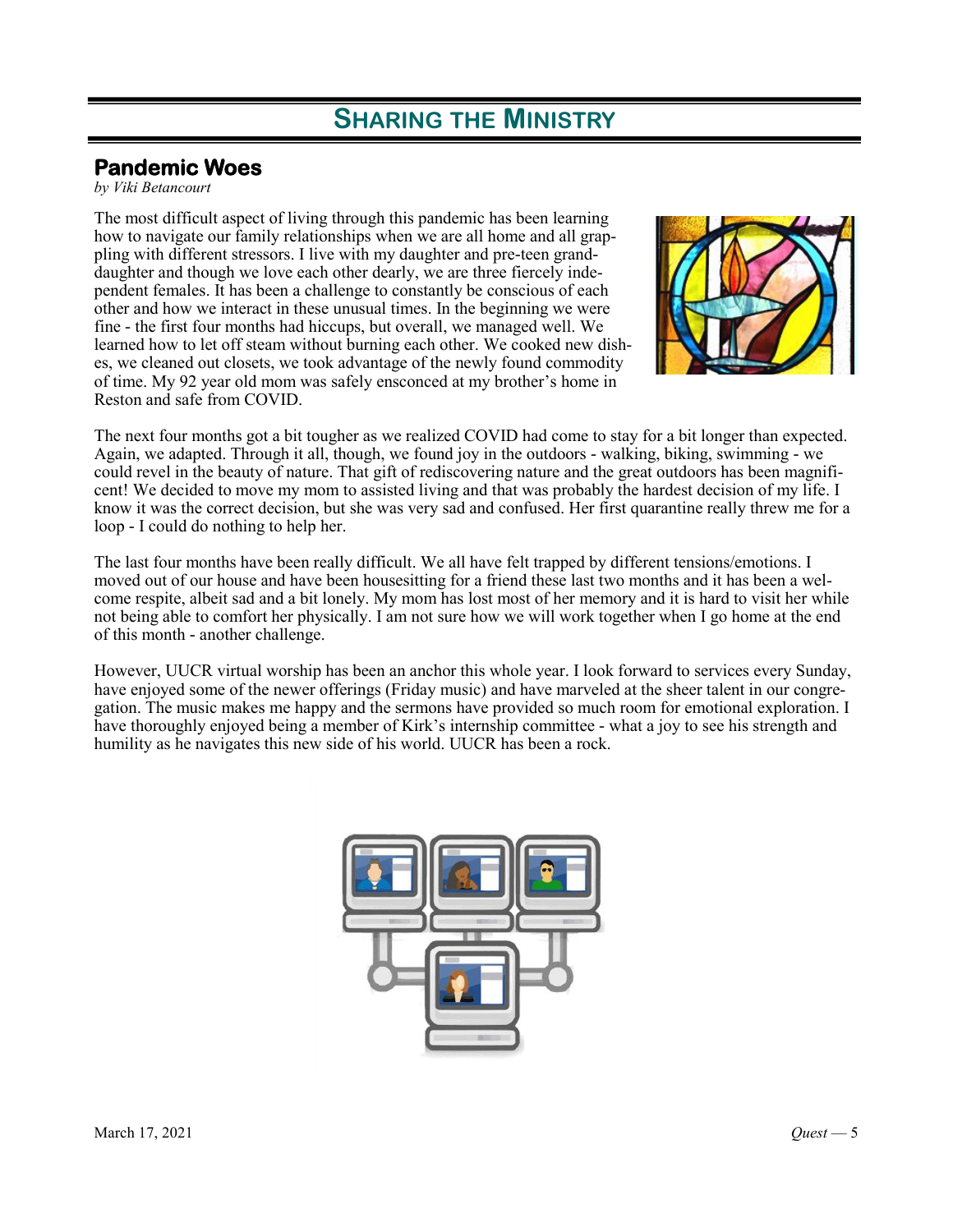### **Pandemic Woes**

*by Viki Betancourt*

The most difficult aspect of living through this pandemic has been learning how to navigate our family relationships when we are all home and all grappling with different stressors. I live with my daughter and pre-teen granddaughter and though we love each other dearly, we are three fiercely independent females. It has been a challenge to constantly be conscious of each other and how we interact in these unusual times. In the beginning we were fine - the first four months had hiccups, but overall, we managed well. We learned how to let off steam without burning each other. We cooked new dishes, we cleaned out closets, we took advantage of the newly found commodity of time. My 92 year old mom was safely ensconced at my brother's home in Reston and safe from COVID.



The next four months got a bit tougher as we realized COVID had come to stay for a bit longer than expected. Again, we adapted. Through it all, though, we found joy in the outdoors - walking, biking, swimming - we could revel in the beauty of nature. That gift of rediscovering nature and the great outdoors has been magnificent! We decided to move my mom to assisted living and that was probably the hardest decision of my life. I know it was the correct decision, but she was very sad and confused. Her first quarantine really threw me for a loop - I could do nothing to help her.

The last four months have been really difficult. We all have felt trapped by different tensions/emotions. I moved out of our house and have been housesitting for a friend these last two months and it has been a welcome respite, albeit sad and a bit lonely. My mom has lost most of her memory and it is hard to visit her while not being able to comfort her physically. I am not sure how we will work together when I go home at the end of this month - another challenge.

However, UUCR virtual worship has been an anchor this whole year. I look forward to services every Sunday, have enjoyed some of the newer offerings (Friday music) and have marveled at the sheer talent in our congregation. The music makes me happy and the sermons have provided so much room for emotional exploration. I have thoroughly enjoyed being a member of Kirk's internship committee - what a joy to see his strength and humility as he navigates this new side of his world. UUCR has been a rock.

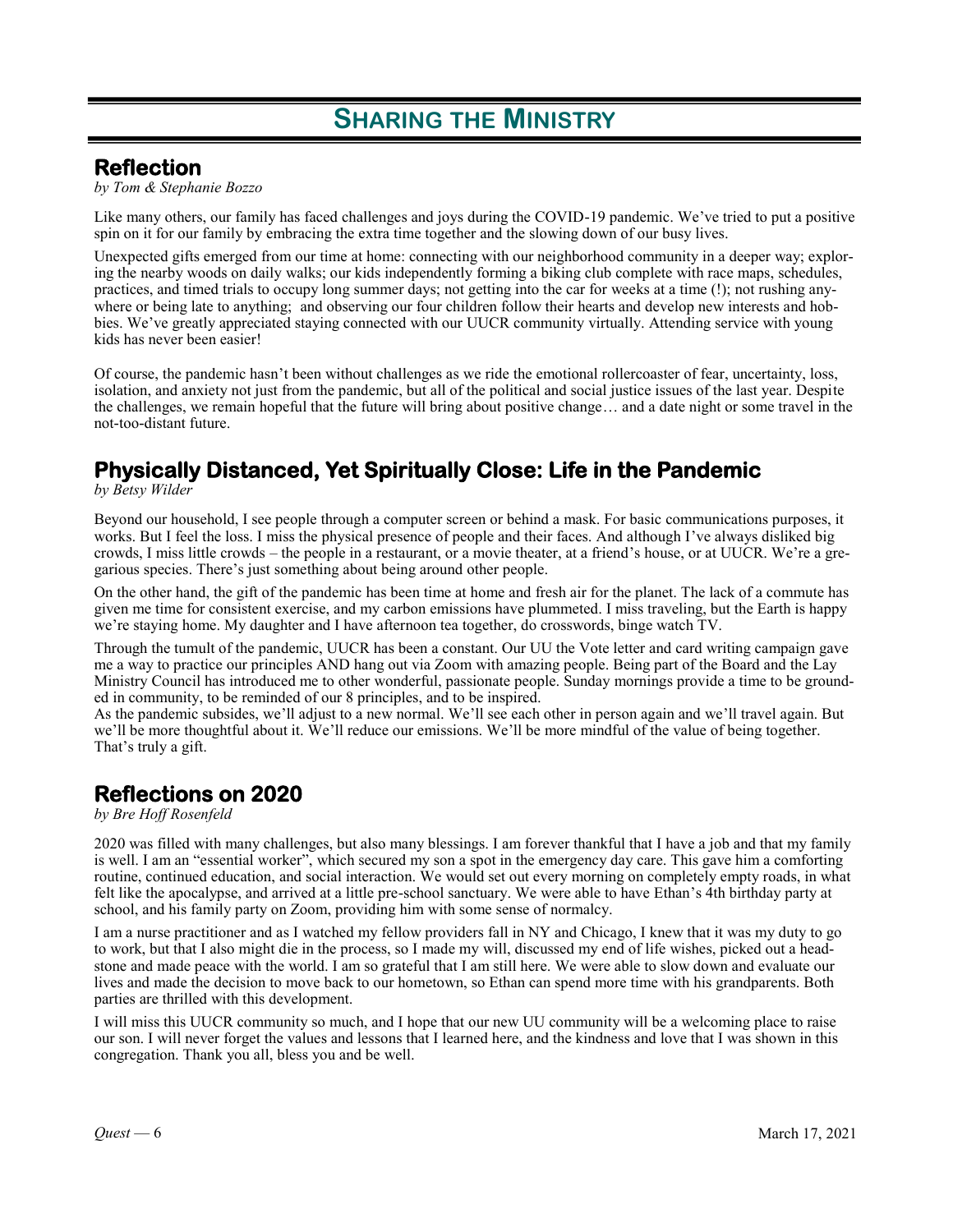### **Reflection**

*by Tom & Stephanie Bozzo*

Like many others, our family has faced challenges and joys during the COVID-19 pandemic. We've tried to put a positive spin on it for our family by embracing the extra time together and the slowing down of our busy lives.

Unexpected gifts emerged from our time at home: connecting with our neighborhood community in a deeper way; exploring the nearby woods on daily walks; our kids independently forming a biking club complete with race maps, schedules, practices, and timed trials to occupy long summer days; not getting into the car for weeks at a time (!); not rushing anywhere or being late to anything; and observing our four children follow their hearts and develop new interests and hobbies. We've greatly appreciated staying connected with our UUCR community virtually. Attending service with young kids has never been easier!

Of course, the pandemic hasn't been without challenges as we ride the emotional rollercoaster of fear, uncertainty, loss, isolation, and anxiety not just from the pandemic, but all of the political and social justice issues of the last year. Despite the challenges, we remain hopeful that the future will bring about positive change… and a date night or some travel in the not-too-distant future.

## **Physically Distanced, Yet Spiritually Close: Life in the Pandemic**

*by Betsy Wilder*

Beyond our household, I see people through a computer screen or behind a mask. For basic communications purposes, it works. But I feel the loss. I miss the physical presence of people and their faces. And although I've always disliked big crowds, I miss little crowds – the people in a restaurant, or a movie theater, at a friend's house, or at UUCR. We're a gregarious species. There's just something about being around other people.

On the other hand, the gift of the pandemic has been time at home and fresh air for the planet. The lack of a commute has given me time for consistent exercise, and my carbon emissions have plummeted. I miss traveling, but the Earth is happy we're staying home. My daughter and I have afternoon tea together, do crosswords, binge watch TV.

Through the tumult of the pandemic, UUCR has been a constant. Our UU the Vote letter and card writing campaign gave me a way to practice our principles AND hang out via Zoom with amazing people. Being part of the Board and the Lay Ministry Council has introduced me to other wonderful, passionate people. Sunday mornings provide a time to be grounded in community, to be reminded of our 8 principles, and to be inspired.

As the pandemic subsides, we'll adjust to a new normal. We'll see each other in person again and we'll travel again. But we'll be more thoughtful about it. We'll reduce our emissions. We'll be more mindful of the value of being together. That's truly a gift.

### **Reflections on 2020**

*by Bre Hoff Rosenfeld*

2020 was filled with many challenges, but also many blessings. I am forever thankful that I have a job and that my family is well. I am an "essential worker", which secured my son a spot in the emergency day care. This gave him a comforting routine, continued education, and social interaction. We would set out every morning on completely empty roads, in what felt like the apocalypse, and arrived at a little pre-school sanctuary. We were able to have Ethan's 4th birthday party at school, and his family party on Zoom, providing him with some sense of normalcy.

I am a nurse practitioner and as I watched my fellow providers fall in NY and Chicago, I knew that it was my duty to go to work, but that I also might die in the process, so I made my will, discussed my end of life wishes, picked out a headstone and made peace with the world. I am so grateful that I am still here. We were able to slow down and evaluate our lives and made the decision to move back to our hometown, so Ethan can spend more time with his grandparents. Both parties are thrilled with this development.

I will miss this UUCR community so much, and I hope that our new UU community will be a welcoming place to raise our son. I will never forget the values and lessons that I learned here, and the kindness and love that I was shown in this congregation. Thank you all, bless you and be well.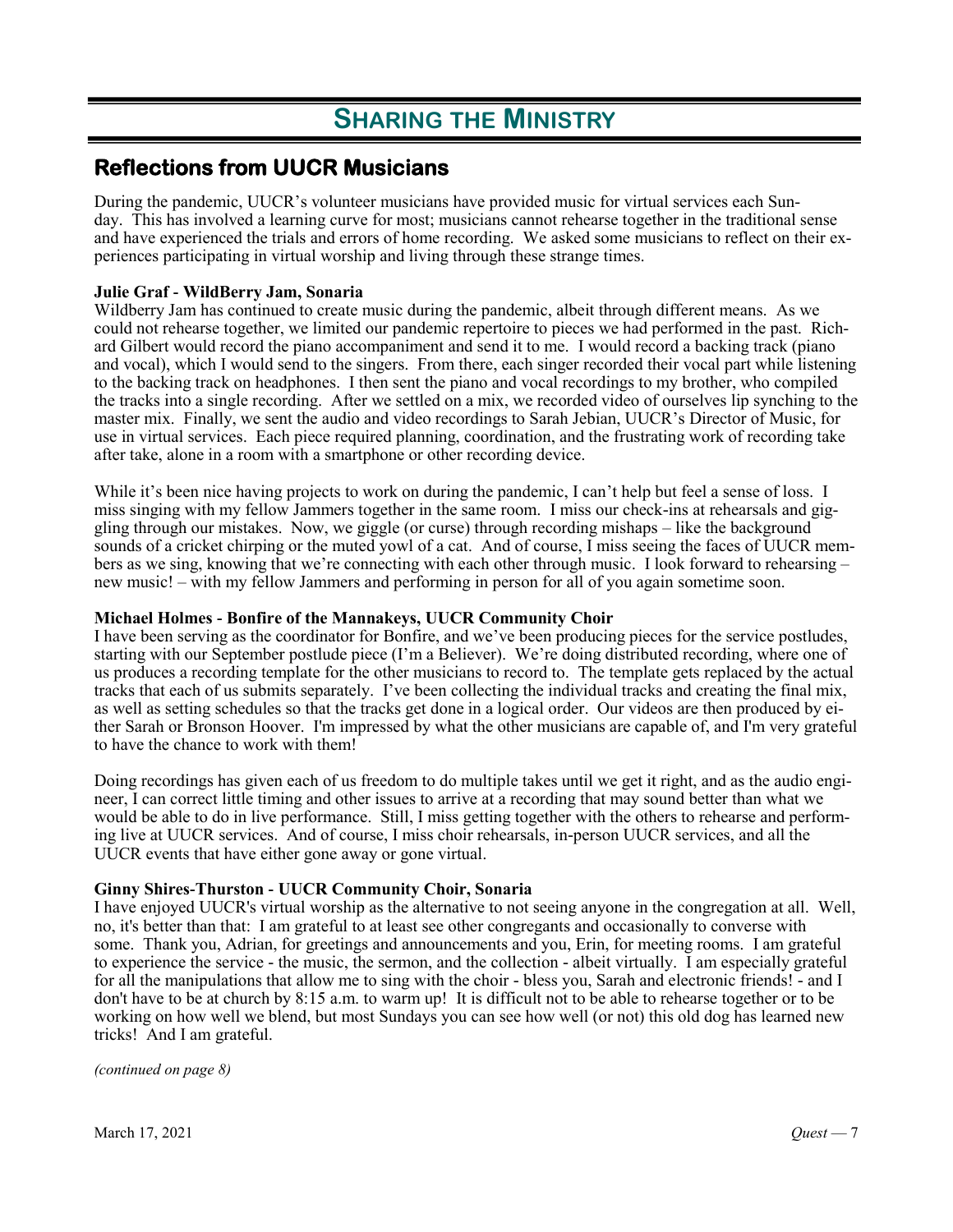### **Reflections from UUCR Musicians**

During the pandemic, UUCR's volunteer musicians have provided music for virtual services each Sunday. This has involved a learning curve for most; musicians cannot rehearse together in the traditional sense and have experienced the trials and errors of home recording. We asked some musicians to reflect on their experiences participating in virtual worship and living through these strange times.

#### **Julie Graf - WildBerry Jam, Sonaria**

Wildberry Jam has continued to create music during the pandemic, albeit through different means. As we could not rehearse together, we limited our pandemic repertoire to pieces we had performed in the past. Richard Gilbert would record the piano accompaniment and send it to me. I would record a backing track (piano and vocal), which I would send to the singers. From there, each singer recorded their vocal part while listening to the backing track on headphones. I then sent the piano and vocal recordings to my brother, who compiled the tracks into a single recording. After we settled on a mix, we recorded video of ourselves lip synching to the master mix. Finally, we sent the audio and video recordings to Sarah Jebian, UUCR's Director of Music, for use in virtual services. Each piece required planning, coordination, and the frustrating work of recording take after take, alone in a room with a smartphone or other recording device.

While it's been nice having projects to work on during the pandemic, I can't help but feel a sense of loss. I miss singing with my fellow Jammers together in the same room. I miss our check-ins at rehearsals and giggling through our mistakes. Now, we giggle (or curse) through recording mishaps – like the background sounds of a cricket chirping or the muted yowl of a cat. And of course, I miss seeing the faces of UUCR members as we sing, knowing that we're connecting with each other through music. I look forward to rehearsing – new music! – with my fellow Jammers and performing in person for all of you again sometime soon.

#### **Michael Holmes - Bonfire of the Mannakeys, UUCR Community Choir**

I have been serving as the coordinator for Bonfire, and we've been producing pieces for the service postludes, starting with our September postlude piece (I'm a Believer). We're doing distributed recording, where one of us produces a recording template for the other musicians to record to. The template gets replaced by the actual tracks that each of us submits separately. I've been collecting the individual tracks and creating the final mix, as well as setting schedules so that the tracks get done in a logical order. Our videos are then produced by either Sarah or Bronson Hoover. I'm impressed by what the other musicians are capable of, and I'm very grateful to have the chance to work with them!

Doing recordings has given each of us freedom to do multiple takes until we get it right, and as the audio engineer, I can correct little timing and other issues to arrive at a recording that may sound better than what we would be able to do in live performance. Still, I miss getting together with the others to rehearse and performing live at UUCR services. And of course, I miss choir rehearsals, in-person UUCR services, and all the UUCR events that have either gone away or gone virtual.

#### **Ginny Shires-Thurston - UUCR Community Choir, Sonaria**

I have enjoyed UUCR's virtual worship as the alternative to not seeing anyone in the congregation at all. Well, no, it's better than that: I am grateful to at least see other congregants and occasionally to converse with some. Thank you, Adrian, for greetings and announcements and you, Erin, for meeting rooms. I am grateful to experience the service - the music, the sermon, and the collection - albeit virtually. I am especially grateful for all the manipulations that allow me to sing with the choir - bless you, Sarah and electronic friends! - and I don't have to be at church by 8:15 a.m. to warm up! It is difficult not to be able to rehearse together or to be working on how well we blend, but most Sundays you can see how well (or not) this old dog has learned new tricks! And I am grateful.

*(continued on page 8)*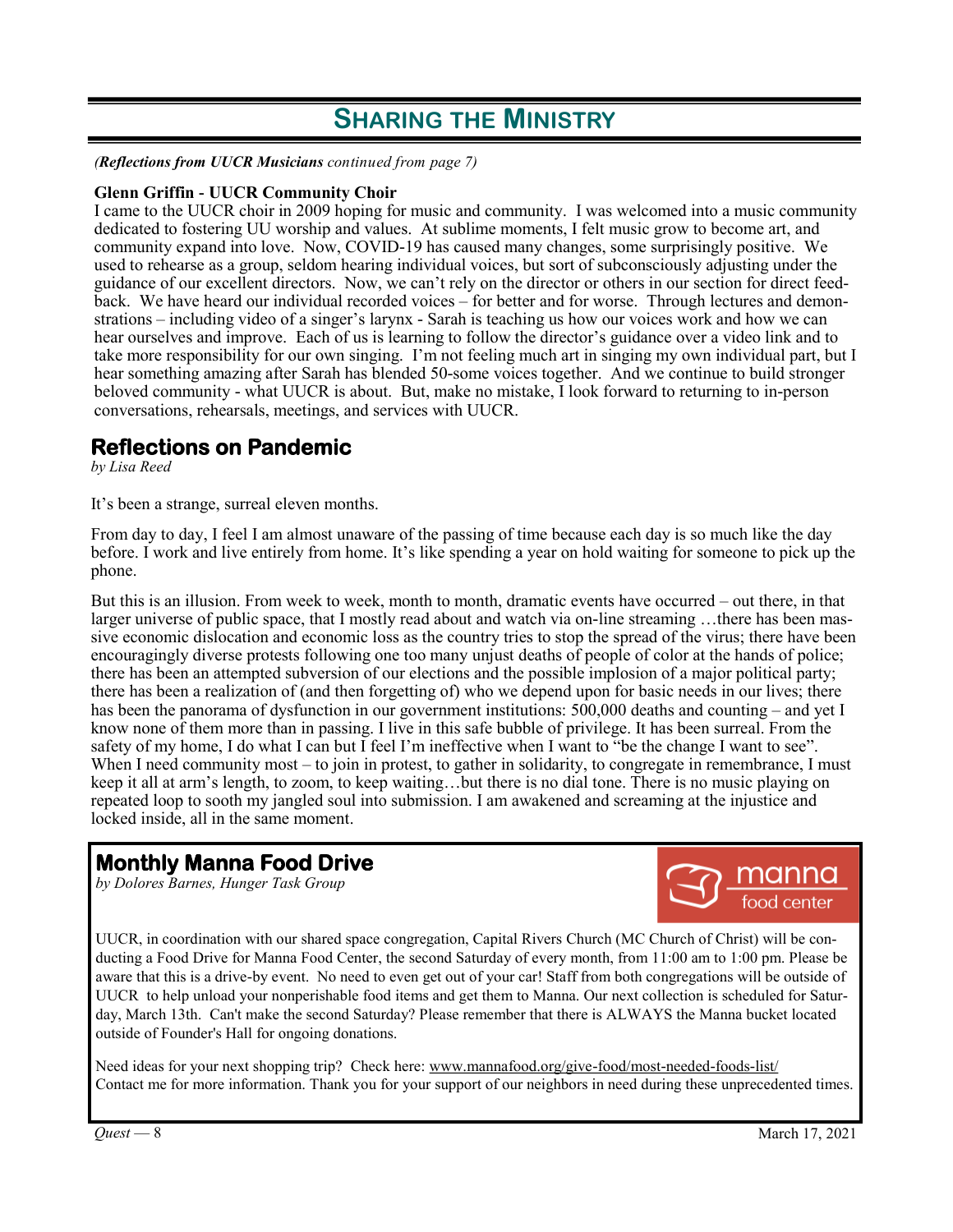*(Reflections from UUCR Musicians continued from page 7)*

#### **Glenn Griffin - UUCR Community Choir**

I came to the UUCR choir in 2009 hoping for music and community. I was welcomed into a music community dedicated to fostering UU worship and values. At sublime moments, I felt music grow to become art, and community expand into love. Now, COVID-19 has caused many changes, some surprisingly positive. We used to rehearse as a group, seldom hearing individual voices, but sort of subconsciously adjusting under the guidance of our excellent directors. Now, we can't rely on the director or others in our section for direct feedback. We have heard our individual recorded voices – for better and for worse. Through lectures and demonstrations – including video of a singer's larynx - Sarah is teaching us how our voices work and how we can hear ourselves and improve. Each of us is learning to follow the director's guidance over a video link and to take more responsibility for our own singing. I'm not feeling much art in singing my own individual part, but I hear something amazing after Sarah has blended 50-some voices together. And we continue to build stronger beloved community - what UUCR is about. But, make no mistake, I look forward to returning to in-person conversations, rehearsals, meetings, and services with UUCR.

### **Reflections on Pandemic**

*by Lisa Reed*

It's been a strange, surreal eleven months.

From day to day, I feel I am almost unaware of the passing of time because each day is so much like the day before. I work and live entirely from home. It's like spending a year on hold waiting for someone to pick up the phone.

But this is an illusion. From week to week, month to month, dramatic events have occurred – out there, in that larger universe of public space, that I mostly read about and watch via on-line streaming …there has been massive economic dislocation and economic loss as the country tries to stop the spread of the virus; there have been encouragingly diverse protests following one too many unjust deaths of people of color at the hands of police; there has been an attempted subversion of our elections and the possible implosion of a major political party; there has been a realization of (and then forgetting of) who we depend upon for basic needs in our lives; there has been the panorama of dysfunction in our government institutions: 500,000 deaths and counting – and yet I know none of them more than in passing. I live in this safe bubble of privilege. It has been surreal. From the safety of my home, I do what I can but I feel I'm ineffective when I want to "be the change I want to see". When I need community most – to join in protest, to gather in solidarity, to congregate in remembrance, I must keep it all at arm's length, to zoom, to keep waiting…but there is no dial tone. There is no music playing on repeated loop to sooth my jangled soul into submission. I am awakened and screaming at the injustice and locked inside, all in the same moment.

### **Monthly Manna Food Drive**

*by Dolores Barnes, Hunger Task Group*



UUCR, in coordination with our shared space congregation, Capital Rivers Church (MC Church of Christ) will be conducting a Food Drive for Manna Food Center, the second Saturday of every month, from 11:00 am to 1:00 pm. Please be aware that this is a drive-by event. No need to even get out of your car! Staff from both congregations will be outside of UUCR to help unload your nonperishable food items and get them to Manna. Our next collection is scheduled for Saturday, March 13th. Can't make the second Saturday? Please remember that there is ALWAYS the Manna bucket located outside of Founder's Hall for ongoing donations.

Need ideas for your next shopping trip? Check here: www.mannafood.org/give-food/most-needed-foods-list/ Contact me for more information. Thank you for your support of our neighbors in need during these unprecedented times.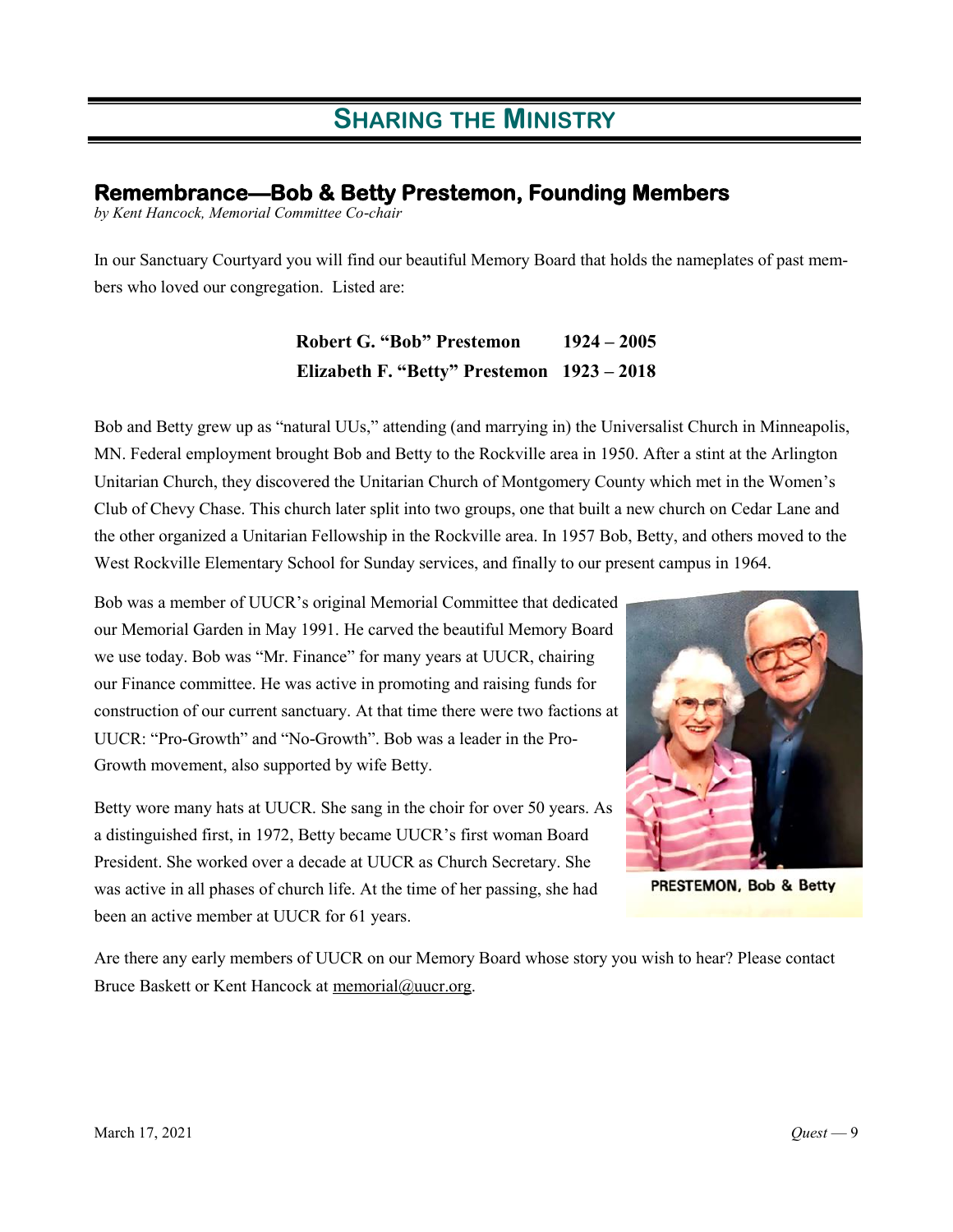### **Remembrance—Bob & Betty Prestemon, Founding Members**

*by Kent Hancock, Memorial Committee Co-chair*

In our Sanctuary Courtyard you will find our beautiful Memory Board that holds the nameplates of past members who loved our congregation. Listed are:

> **Robert G. "Bob" Prestemon 1924 – 2005 Elizabeth F. "Betty" Prestemon 1923 – 2018**

Bob and Betty grew up as "natural UUs," attending (and marrying in) the Universalist Church in Minneapolis, MN. Federal employment brought Bob and Betty to the Rockville area in 1950. After a stint at the Arlington Unitarian Church, they discovered the Unitarian Church of Montgomery County which met in the Women's Club of Chevy Chase. This church later split into two groups, one that built a new church on Cedar Lane and the other organized a Unitarian Fellowship in the Rockville area. In 1957 Bob, Betty, and others moved to the West Rockville Elementary School for Sunday services, and finally to our present campus in 1964.

Bob was a member of UUCR's original Memorial Committee that dedicated our Memorial Garden in May 1991. He carved the beautiful Memory Board we use today. Bob was "Mr. Finance" for many years at UUCR, chairing our Finance committee. He was active in promoting and raising funds for construction of our current sanctuary. At that time there were two factions at UUCR: "Pro-Growth" and "No-Growth". Bob was a leader in the Pro-Growth movement, also supported by wife Betty.

Betty wore many hats at UUCR. She sang in the choir for over 50 years. As a distinguished first, in 1972, Betty became UUCR's first woman Board President. She worked over a decade at UUCR as Church Secretary. She was active in all phases of church life. At the time of her passing, she had been an active member at UUCR for 61 years.



PRESTEMON, Bob & Betty

Are there any early members of UUCR on our Memory Board whose story you wish to hear? Please contact Bruce Baskett or Kent Hancock at memorial@uucr.org.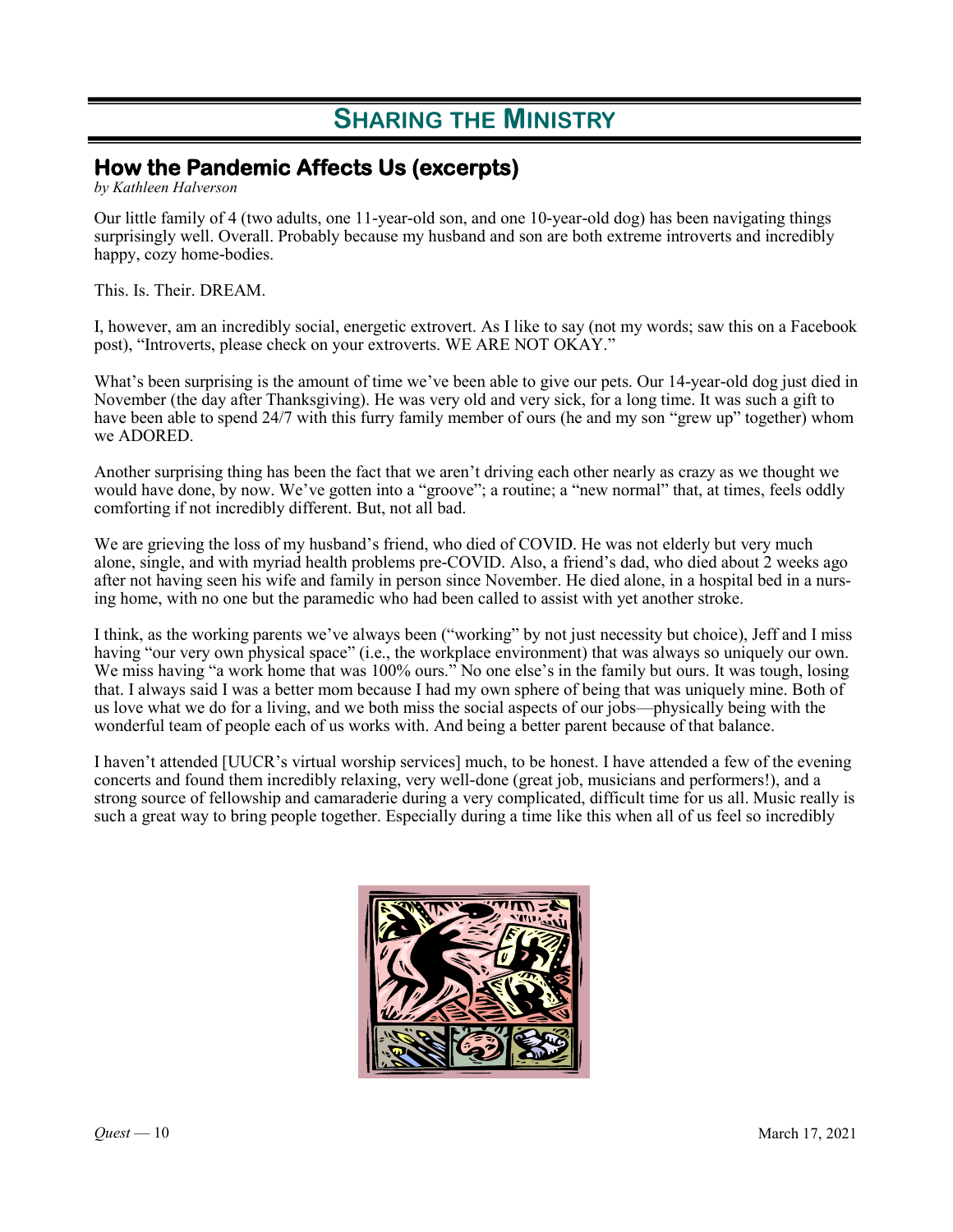### **How the Pandemic Affects Us (excerpts)**

*by Kathleen Halverson*

Our little family of 4 (two adults, one 11-year-old son, and one 10-year-old dog) has been navigating things surprisingly well. Overall. Probably because my husband and son are both extreme introverts and incredibly happy, cozy home-bodies.

This. Is. Their. DREAM.

I, however, am an incredibly social, energetic extrovert. As I like to say (not my words; saw this on a Facebook post), "Introverts, please check on your extroverts. WE ARE NOT OKAY."

What's been surprising is the amount of time we've been able to give our pets. Our 14-year-old dog just died in November (the day after Thanksgiving). He was very old and very sick, for a long time. It was such a gift to have been able to spend 24/7 with this furry family member of ours (he and my son "grew up" together) whom we ADORED.

Another surprising thing has been the fact that we aren't driving each other nearly as crazy as we thought we would have done, by now. We've gotten into a "groove"; a routine; a "new normal" that, at times, feels oddly comforting if not incredibly different. But, not all bad.

We are grieving the loss of my husband's friend, who died of COVID. He was not elderly but very much alone, single, and with myriad health problems pre-COVID. Also, a friend's dad, who died about 2 weeks ago after not having seen his wife and family in person since November. He died alone, in a hospital bed in a nursing home, with no one but the paramedic who had been called to assist with yet another stroke.

I think, as the working parents we've always been ("working" by not just necessity but choice), Jeff and I miss having "our very own physical space" (i.e., the workplace environment) that was always so uniquely our own. We miss having "a work home that was 100% ours." No one else's in the family but ours. It was tough, losing that. I always said I was a better mom because I had my own sphere of being that was uniquely mine. Both of us love what we do for a living, and we both miss the social aspects of our jobs—physically being with the wonderful team of people each of us works with. And being a better parent because of that balance.

I haven't attended [UUCR's virtual worship services] much, to be honest. I have attended a few of the evening concerts and found them incredibly relaxing, very well-done (great job, musicians and performers!), and a strong source of fellowship and camaraderie during a very complicated, difficult time for us all. Music really is such a great way to bring people together. Especially during a time like this when all of us feel so incredibly

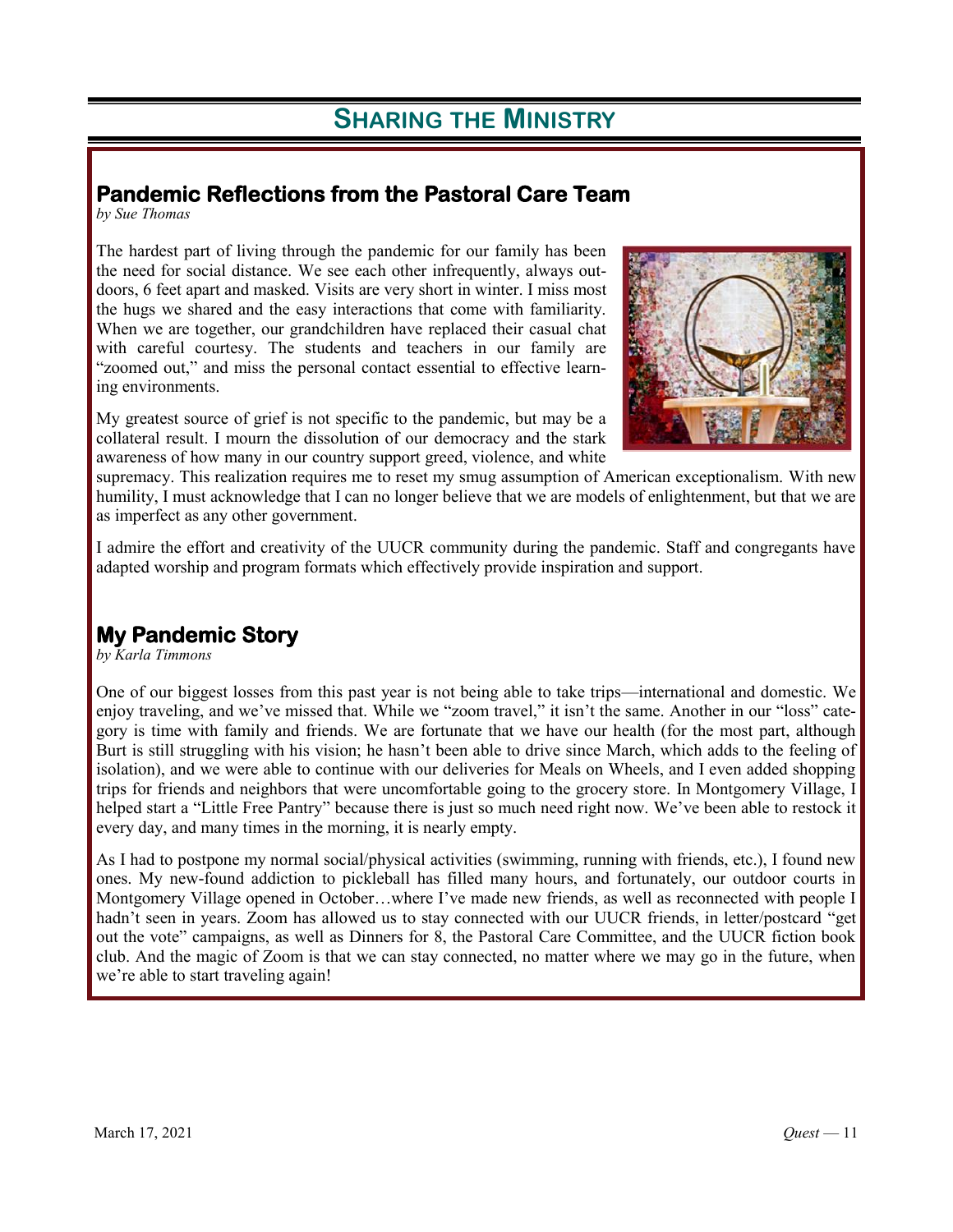### **Pandemic Reflections from the Pastoral Care Team**

*by Sue Thomas*

The hardest part of living through the pandemic for our family has been the need for social distance. We see each other infrequently, always outdoors, 6 feet apart and masked. Visits are very short in winter. I miss most the hugs we shared and the easy interactions that come with familiarity. When we are together, our grandchildren have replaced their casual chat with careful courtesy. The students and teachers in our family are "zoomed out," and miss the personal contact essential to effective learning environments.

My greatest source of grief is not specific to the pandemic, but may be a collateral result. I mourn the dissolution of our democracy and the stark awareness of how many in our country support greed, violence, and white



supremacy. This realization requires me to reset my smug assumption of American exceptionalism. With new humility, I must acknowledge that I can no longer believe that we are models of enlightenment, but that we are as imperfect as any other government.

I admire the effort and creativity of the UUCR community during the pandemic. Staff and congregants have adapted worship and program formats which effectively provide inspiration and support.

### **My Pandemic Story**

*by Karla Timmons*

One of our biggest losses from this past year is not being able to take trips—international and domestic. We enjoy traveling, and we've missed that. While we "zoom travel," it isn't the same. Another in our "loss" category is time with family and friends. We are fortunate that we have our health (for the most part, although Burt is still struggling with his vision; he hasn't been able to drive since March, which adds to the feeling of isolation), and we were able to continue with our deliveries for Meals on Wheels, and I even added shopping trips for friends and neighbors that were uncomfortable going to the grocery store. In Montgomery Village, I helped start a "Little Free Pantry" because there is just so much need right now. We've been able to restock it every day, and many times in the morning, it is nearly empty.

As I had to postpone my normal social/physical activities (swimming, running with friends, etc.), I found new ones. My new-found addiction to pickleball has filled many hours, and fortunately, our outdoor courts in Montgomery Village opened in October…where I've made new friends, as well as reconnected with people I hadn't seen in years. Zoom has allowed us to stay connected with our UUCR friends, in letter/postcard "get out the vote" campaigns, as well as Dinners for 8, the Pastoral Care Committee, and the UUCR fiction book club. And the magic of Zoom is that we can stay connected, no matter where we may go in the future, when we're able to start traveling again!